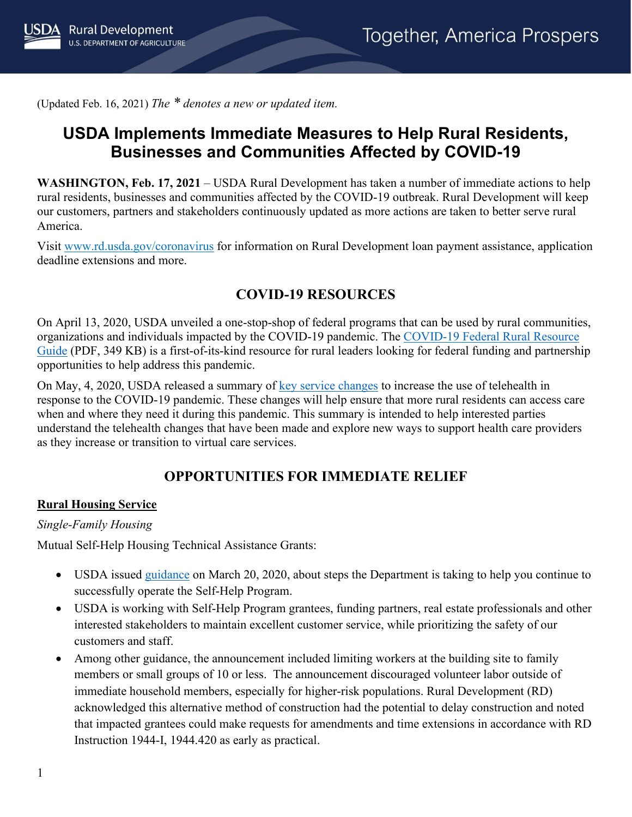(Updated Feb. 16, 2021) *The \* denotes a new or updated item.*

# **USDA Implements Immediate Measures to Help Rural Residents, Businesses and Communities Affected by COVID-19**

**WASHINGTON, Feb. 17, 2021** – USDA Rural Development has taken a number of immediate actions to help rural residents, businesses and communities affected by the COVID-19 outbreak. Rural Development will keep our customers, partners and stakeholders continuously updated as more actions are taken to better serve rural America.

Visit [www.rd.usda.gov/coronavirus](https://www.rd.usda.gov/coronavirus) for information on Rural Development loan payment assistance, application deadline extensions and more.

# **COVID-19 RESOURCES**

On April 13, 2020, USDA unveiled a one-stop-shop of federal programs that can be used by rural communities, organizations and individuals impacted by the COVID-19 pandemic. The [COVID-19 Federal Rural Resource](https://www.rd.usda.gov/sites/default/files/USDA_COVID-19_Fed_Rural_Resource_Guide.pdf)  [Guide](https://www.rd.usda.gov/sites/default/files/USDA_COVID-19_Fed_Rural_Resource_Guide.pdf) (PDF, 349 KB) is a first-of-its-kind resource for rural leaders looking for federal funding and partnership opportunities to help address this pandemic.

On May, 4, 2020, USDA released a summary of [key service changes](https://www.rd.usda.gov/sites/default/files/RD_RuralTelehealthFactSheet_20200501.pdf) to increase the use of telehealth in response to the COVID-19 pandemic. These changes will help ensure that more rural residents can access care when and where they need it during this pandemic. This summary is intended to help interested parties understand the telehealth changes that have been made and explore new ways to support health care providers as they increase or transition to virtual care services.

# **OPPORTUNITIES FOR IMMEDIATE RELIEF**

### **Rural Housing Service**

#### *Single-Family Housing*

Mutual Self-Help Housing Technical Assistance Grants:

- USDA issued [guidance](https://www.rd.usda.gov/sites/default/files/USDA_SA_COVID19_SFHContinuity03202020.pdf) on March 20, 2020, about steps the Department is taking to help you continue to successfully operate the Self-Help Program.
- USDA is working with Self-Help Program grantees, funding partners, real estate professionals and other interested stakeholders to maintain excellent customer service, while prioritizing the safety of our customers and staff.
- Among other guidance, the announcement included limiting workers at the building site to family members or small groups of 10 or less. The announcement discouraged volunteer labor outside of immediate household members, especially for higher-risk populations. Rural Development (RD) acknowledged this alternative method of construction had the potential to delay construction and noted that impacted grantees could make requests for amendments and time extensions in accordance with RD Instruction 1944-I, 1944.420 as early as practical.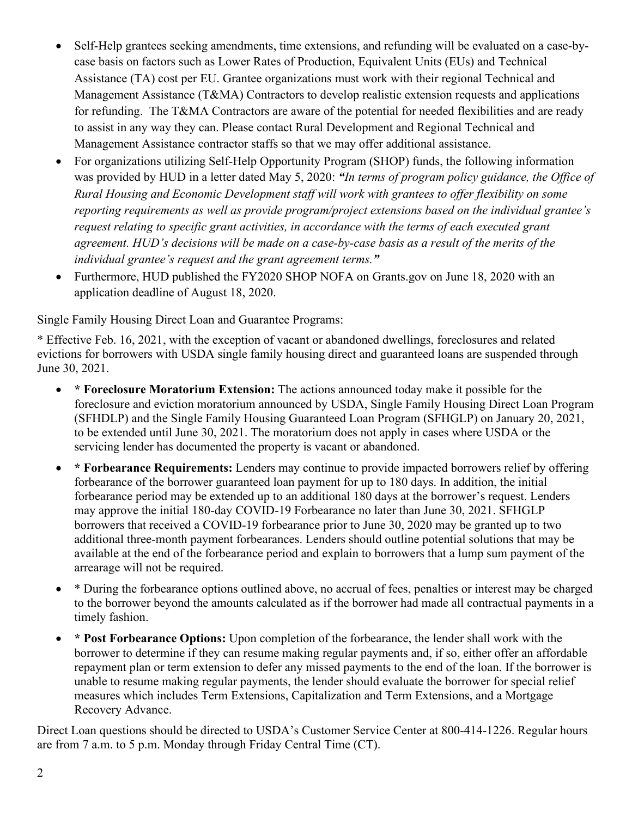- Self-Help grantees seeking amendments, time extensions, and refunding will be evaluated on a case-bycase basis on factors such as Lower Rates of Production, Equivalent Units (EUs) and Technical Assistance (TA) cost per EU. Grantee organizations must work with their regional Technical and Management Assistance (T&MA) Contractors to develop realistic extension requests and applications for refunding. The T&MA Contractors are aware of the potential for needed flexibilities and are ready to assist in any way they can. Please contact Rural Development and Regional Technical and Management Assistance contractor staffs so that we may offer additional assistance.
- For organizations utilizing Self-Help Opportunity Program (SHOP) funds, the following information was provided by HUD in a letter dated May 5, 2020: *"In terms of program policy guidance, the Office of Rural Housing and Economic Development staff will work with grantees to offer flexibility on some reporting requirements as well as provide program/project extensions based on the individual grantee's request relating to specific grant activities, in accordance with the terms of each executed grant agreement. HUD's decisions will be made on a case-by-case basis as a result of the merits of the individual grantee's request and the grant agreement terms."*
- Furthermore, HUD published the FY2020 SHOP NOFA on Grants.gov on June 18, 2020 with an application deadline of August 18, 2020.

Single Family Housing Direct Loan and Guarantee Programs:

\* Effective Feb. 16, 2021, with the exception of vacant or abandoned dwellings, foreclosures and related evictions for borrowers with USDA single family housing direct and guaranteed loans are suspended through June 30, 2021.

- **\* Foreclosure Moratorium Extension:** The actions announced today make it possible for the foreclosure and eviction moratorium announced by USDA, Single Family Housing Direct Loan Program (SFHDLP) and the Single Family Housing Guaranteed Loan Program (SFHGLP) on January 20, 2021, to be extended until June 30, 2021. The moratorium does not apply in cases where USDA or the servicing lender has documented the property is vacant or abandoned.
- **\* Forbearance Requirements:** Lenders may continue to provide impacted borrowers relief by offering forbearance of the borrower guaranteed loan payment for up to 180 days. In addition, the initial forbearance period may be extended up to an additional 180 days at the borrower's request. Lenders may approve the initial 180-day COVID-19 Forbearance no later than June 30, 2021. SFHGLP borrowers that received a COVID-19 forbearance prior to June 30, 2020 may be granted up to two additional three-month payment forbearances. Lenders should outline potential solutions that may be available at the end of the forbearance period and explain to borrowers that a lump sum payment of the arrearage will not be required.
- \* During the forbearance options outlined above, no accrual of fees, penalties or interest may be charged to the borrower beyond the amounts calculated as if the borrower had made all contractual payments in a timely fashion.
- **\* Post Forbearance Options:** Upon completion of the forbearance, the lender shall work with the borrower to determine if they can resume making regular payments and, if so, either offer an affordable repayment plan or term extension to defer any missed payments to the end of the loan. If the borrower is unable to resume making regular payments, the lender should evaluate the borrower for special relief measures which includes Term Extensions, Capitalization and Term Extensions, and a Mortgage Recovery Advance.

Direct Loan questions should be directed to USDA's Customer Service Center at 800-414-1226. Regular hours are from 7 a.m. to 5 p.m. Monday through Friday Central Time (CT).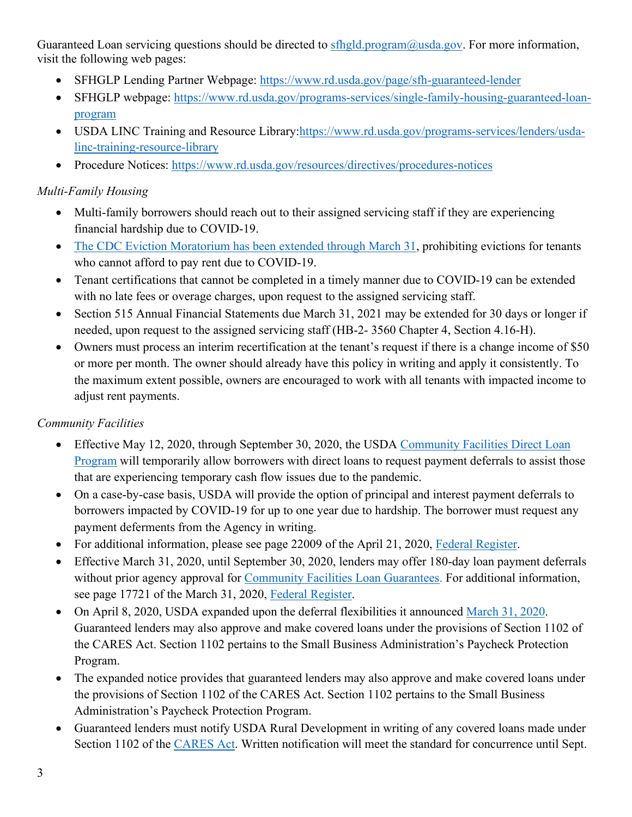Guaranteed Loan servicing questions should be directed to [sfhgld.program@usda.gov.](mailto:sfhgld.program@usda.gov) For more information, visit the following web pages:

- SFHGLP Lending Partner Webpage:<https://www.rd.usda.gov/page/sfh-guaranteed-lender>
- SFHGLP webpage: [https://www.rd.usda.gov/programs-services/single-family-housing-guaranteed-loan](https://www.rd.usda.gov/programs-services/single-family-housing-guaranteed-loan-program)[program](https://www.rd.usda.gov/programs-services/single-family-housing-guaranteed-loan-program)
- USDA LINC Training and Resource Library[:https://www.rd.usda.gov/programs-services/lenders/usda](https://www.rd.usda.gov/programs-services/lenders/usda-linc-training-resource-library)[linc-training-resource-library](https://www.rd.usda.gov/programs-services/lenders/usda-linc-training-resource-library)
- Procedure Notices:<https://www.rd.usda.gov/resources/directives/procedures-notices>

# *Multi-Family Housing*

- Multi-family borrowers should reach out to their assigned servicing staff if they are experiencing financial hardship due to COVID-19.
- [The CDC Eviction Moratorium has been extended through March 31,](https://www.federalregister.gov/documents/2020/09/04/2020-19654/temporary-halt-in-residential-evictions-to-prevent-the-further-spread-of-covid-19) prohibiting evictions for tenants who cannot afford to pay rent due to COVID-19.
- Tenant certifications that cannot be completed in a timely manner due to COVID-19 can be extended with no late fees or overage charges, upon request to the assigned servicing staff.
- Section 515 Annual Financial Statements due March 31, 2021 may be extended for 30 days or longer if needed, upon request to the assigned servicing staff (HB-2- 3560 Chapter 4, Section 4.16-H).
- Owners must process an interim recertification at the tenant's request if there is a change income of \$50 or more per month. The owner should already have this policy in writing and apply it consistently. To the maximum extent possible, owners are encouraged to work with all tenants with impacted income to adjust rent payments.

# *Community Facilities*

- Effective May 12, 2020, through September 30, 2020, the USDA Community Facilities Direct Loan [Program](https://www.rd.usda.gov/programs-services/community-facilities-direct-loan-grant-program) will temporarily allow borrowers with direct loans to request payment deferrals to assist those that are experiencing temporary cash flow issues due to the pandemic.
- On a case-by-case basis, USDA will provide the option of principal and interest payment deferrals to borrowers impacted by COVID-19 for up to one year due to hardship. The borrower must request any payment deferments from the Agency in writing.
- For additional information, please see page 22009 of the April 21, 2020, [Federal Register.](https://www.govinfo.gov/content/pkg/FR-2020-04-21/pdf/2020-08429.pdf)
- Effective March 31, 2020, until September 30, 2020, lenders may offer 180-day loan payment deferrals without prior agency approval for [Community Facilities Loan Guarantees.](https://www.rd.usda.gov/programs-services/community-facilities-guaranteed-loan-program) For additional information, see page 17721 of the March 31, 2020, [Federal Register.](https://www.govinfo.gov/content/pkg/FR-2020-03-31/pdf/2020-06706.pdf)
- On April 8, 2020, USDA expanded upon the deferral flexibilities it announced [March 31, 2020.](https://www.rd.usda.gov/sites/default/files/USDA_RD_SA_COVID19_Guarantee_Loan_Deferral_Payments03312020.pdf) Guaranteed lenders may also approve and make covered loans under the provisions of Section 1102 of the CARES Act. Section 1102 pertains to the Small Business Administration's Paycheck Protection Program.
- The expanded notice provides that guaranteed lenders may also approve and make covered loans under the provisions of Section 1102 of the CARES Act. Section 1102 pertains to the Small Business Administration's Paycheck Protection Program.
- Guaranteed lenders must notify USDA Rural Development in writing of any covered loans made under Section 1102 of the [CARES Act.](https://www.congress.gov/bill/116th-congress/senate-bill/3548/text) Written notification will meet the standard for concurrence until Sept.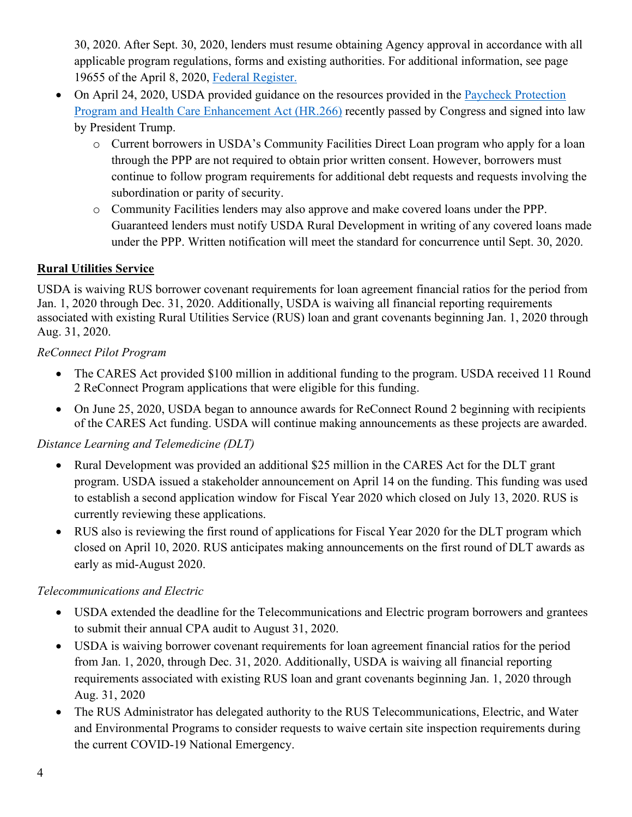30, 2020. After Sept. 30, 2020, lenders must resume obtaining Agency approval in accordance with all applicable program regulations, forms and existing authorities. For additional information, see page 19655 of the April 8, 2020, [Federal Register.](https://www.govinfo.gov/content/pkg/FR-2020-04-08/pdf/2020-07487.pdf)

- On April 24, 2020, USDA provided guidance on the resources provided in the [Paycheck Protection](https://www.congress.gov/bill/116th-congress/house-bill/266?q=%7B%22search%22%3A%5B%22HR+266%22%5D%7D&s=1&r=1)  [Program and Health Care Enhancement Act \(HR.266\)](https://www.congress.gov/bill/116th-congress/house-bill/266?q=%7B%22search%22%3A%5B%22HR+266%22%5D%7D&s=1&r=1) recently passed by Congress and signed into law by President Trump.
	- o Current borrowers in USDA's Community Facilities Direct Loan program who apply for a loan through the PPP are not required to obtain prior written consent. However, borrowers must continue to follow program requirements for additional debt requests and requests involving the subordination or parity of security.
	- o Community Facilities lenders may also approve and make covered loans under the PPP. Guaranteed lenders must notify USDA Rural Development in writing of any covered loans made under the PPP. Written notification will meet the standard for concurrence until Sept. 30, 2020.

# **Rural Utilities Service**

USDA is waiving RUS borrower covenant requirements for loan agreement financial ratios for the period from Jan. 1, 2020 through Dec. 31, 2020. Additionally, USDA is waiving all financial reporting requirements associated with existing Rural Utilities Service (RUS) loan and grant covenants beginning Jan. 1, 2020 through Aug. 31, 2020.

# *ReConnect Pilot Program*

- The CARES Act provided \$100 million in additional funding to the program. USDA received 11 Round 2 ReConnect Program applications that were eligible for this funding.
- On June 25, 2020, USDA began to announce awards for ReConnect Round 2 beginning with recipients of the CARES Act funding. USDA will continue making announcements as these projects are awarded.

### *Distance Learning and Telemedicine (DLT)*

- Rural Development was provided an additional \$25 million in the CARES Act for the DLT grant program. USDA issued a stakeholder announcement on April 14 on the funding. This funding was used to establish a second application window for Fiscal Year 2020 which closed on July 13, 2020. RUS is currently reviewing these applications.
- RUS also is reviewing the first round of applications for Fiscal Year 2020 for the DLT program which closed on April 10, 2020. RUS anticipates making announcements on the first round of DLT awards as early as mid-August 2020.

# *Telecommunications and Electric*

- USDA extended the deadline for the Telecommunications and Electric program borrowers and grantees to submit their annual CPA audit to August 31, 2020.
- USDA is waiving borrower covenant requirements for loan agreement financial ratios for the period from Jan. 1, 2020, through Dec. 31, 2020. Additionally, USDA is waiving all financial reporting requirements associated with existing RUS loan and grant covenants beginning Jan. 1, 2020 through Aug. 31, 2020
- The RUS Administrator has delegated authority to the RUS Telecommunications, Electric, and Water and Environmental Programs to consider requests to waive certain site inspection requirements during the current COVID-19 National Emergency.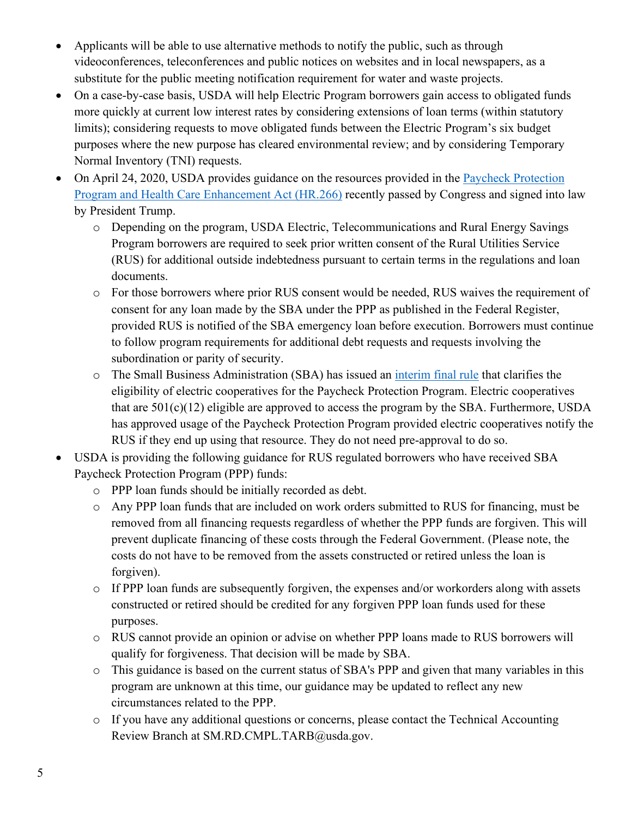- Applicants will be able to use alternative methods to notify the public, such as through videoconferences, teleconferences and public notices on websites and in local newspapers, as a substitute for the public meeting notification requirement for water and waste projects.
- On a case-by-case basis, USDA will help Electric Program borrowers gain access to obligated funds more quickly at current low interest rates by considering extensions of loan terms (within statutory limits); considering requests to move obligated funds between the Electric Program's six budget purposes where the new purpose has cleared environmental review; and by considering Temporary Normal Inventory (TNI) requests.
- On April 24, 2020, USDA provides guidance on the resources provided in the [Paycheck Protection](https://www.congress.gov/bill/116th-congress/house-bill/266?q=%7B%22search%22%3A%5B%22HR+266%22%5D%7D&s=1&r=1)  [Program and Health Care Enhancement Act \(HR.266\)](https://www.congress.gov/bill/116th-congress/house-bill/266?q=%7B%22search%22%3A%5B%22HR+266%22%5D%7D&s=1&r=1) recently passed by Congress and signed into law by President Trump.
	- o Depending on the program, USDA Electric, Telecommunications and Rural Energy Savings Program borrowers are required to seek prior written consent of the Rural Utilities Service (RUS) for additional outside indebtedness pursuant to certain terms in the regulations and loan documents.
	- o For those borrowers where prior RUS consent would be needed, RUS waives the requirement of consent for any loan made by the SBA under the PPP as published in the Federal Register, provided RUS is notified of the SBA emergency loan before execution. Borrowers must continue to follow program requirements for additional debt requests and requests involving the subordination or parity of security.
	- o The Small Business Administration (SBA) has issued an [interim final rule](https://www.govinfo.gov/content/pkg/FR-2020-05-19/pdf/2020-10674.pdf) that clarifies the eligibility of electric cooperatives for the Paycheck Protection Program. Electric cooperatives that are  $501(c)(12)$  eligible are approved to access the program by the SBA. Furthermore, USDA has approved usage of the Paycheck Protection Program provided electric cooperatives notify the RUS if they end up using that resource. They do not need pre-approval to do so.
- USDA is providing the following guidance for RUS regulated borrowers who have received SBA Paycheck Protection Program (PPP) funds:
	- o PPP loan funds should be initially recorded as debt.
	- o Any PPP loan funds that are included on work orders submitted to RUS for financing, must be removed from all financing requests regardless of whether the PPP funds are forgiven. This will prevent duplicate financing of these costs through the Federal Government. (Please note, the costs do not have to be removed from the assets constructed or retired unless the loan is forgiven).
	- o If PPP loan funds are subsequently forgiven, the expenses and/or workorders along with assets constructed or retired should be credited for any forgiven PPP loan funds used for these purposes.
	- o RUS cannot provide an opinion or advise on whether PPP loans made to RUS borrowers will qualify for forgiveness. That decision will be made by SBA.
	- o This guidance is based on the current status of SBA's PPP and given that many variables in this program are unknown at this time, our guidance may be updated to reflect any new circumstances related to the PPP.
	- o If you have any additional questions or concerns, please contact the Technical Accounting Review Branch at SM.RD.CMPL.TARB@usda.gov.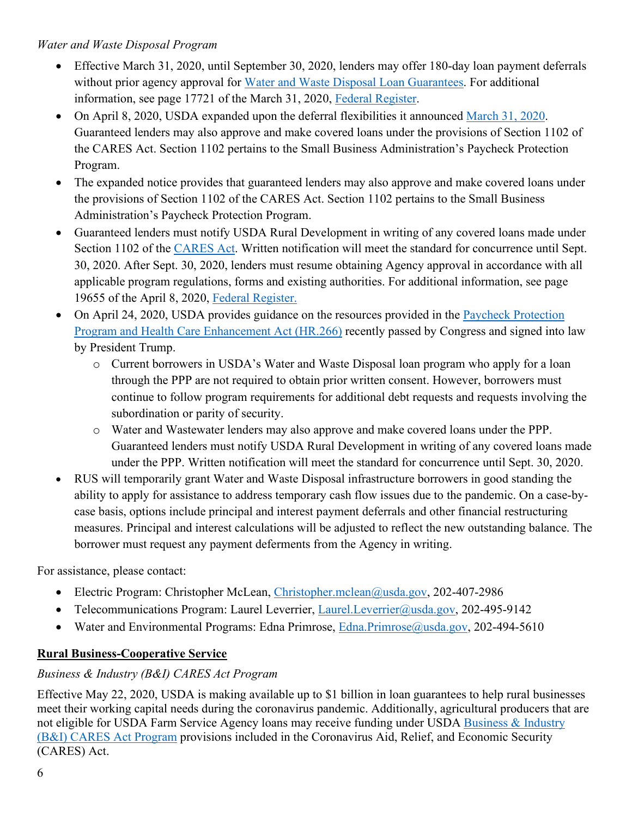### *Water and Waste Disposal Program*

- Effective March 31, 2020, until September 30, 2020, lenders may offer 180-day loan payment deferrals without prior agency approval for [Water and Waste Disposal Loan Guarantees.](https://www.rd.usda.gov/programs-services/water-waste-disposal-loan-guarantees) For additional information, see page 17721 of the March 31, 2020, [Federal Register.](https://www.govinfo.gov/content/pkg/FR-2020-03-31/pdf/2020-06706.pdf)
- On April 8, 2020, USDA expanded upon the deferral flexibilities it announced [March 31, 2020.](https://www.rd.usda.gov/sites/default/files/USDA_RD_SA_COVID19_Guarantee_Loan_Deferral_Payments03312020.pdf) Guaranteed lenders may also approve and make covered loans under the provisions of Section 1102 of the CARES Act. Section 1102 pertains to the Small Business Administration's Paycheck Protection Program.
- The expanded notice provides that guaranteed lenders may also approve and make covered loans under the provisions of Section 1102 of the CARES Act. Section 1102 pertains to the Small Business Administration's Paycheck Protection Program.
- Guaranteed lenders must notify USDA Rural Development in writing of any covered loans made under Section 1102 of the [CARES Act.](https://www.congress.gov/bill/116th-congress/senate-bill/3548/text) Written notification will meet the standard for concurrence until Sept. 30, 2020. After Sept. 30, 2020, lenders must resume obtaining Agency approval in accordance with all applicable program regulations, forms and existing authorities. For additional information, see page 19655 of the April 8, 2020, [Federal Register.](https://www.govinfo.gov/content/pkg/FR-2020-04-08/pdf/2020-07487.pdf)
- On April 24, 2020, USDA provides guidance on the resources provided in the Paycheck Protection [Program and Health Care Enhancement Act \(HR.266\)](https://www.congress.gov/bill/116th-congress/house-bill/266?q=%7B%22search%22%3A%5B%22HR+266%22%5D%7D&s=1&r=1) recently passed by Congress and signed into law by President Trump.
	- o Current borrowers in USDA's Water and Waste Disposal loan program who apply for a loan through the PPP are not required to obtain prior written consent. However, borrowers must continue to follow program requirements for additional debt requests and requests involving the subordination or parity of security.
	- o Water and Wastewater lenders may also approve and make covered loans under the PPP. Guaranteed lenders must notify USDA Rural Development in writing of any covered loans made under the PPP. Written notification will meet the standard for concurrence until Sept. 30, 2020.
- RUS will temporarily grant Water and Waste Disposal infrastructure borrowers in good standing the ability to apply for assistance to address temporary cash flow issues due to the pandemic. On a case-bycase basis, options include principal and interest payment deferrals and other financial restructuring measures. Principal and interest calculations will be adjusted to reflect the new outstanding balance. The borrower must request any payment deferments from the Agency in writing.

For assistance, please contact:

- Electric Program: Christopher McLean, [Christopher.mclean@usda.gov,](mailto:Christopher.mclean@usda.gov) 202-407-2986
- Telecommunications Program: Laurel Leverrier, [Laurel.Leverrier@usda.gov,](mailto:Laurel.Leverrier@usda.gov) 202-495-9142
- Water and Environmental Programs: Edna Primrose, [Edna.Primrose@usda.gov,](mailto:Edna.Primrose@usda.gov) 202-494-5610

### **Rural Business-Cooperative Service**

### *Business & Industry (B&I) CARES Act Program*

Effective May 22, 2020, USDA is making available up to \$1 billion in loan guarantees to help rural businesses meet their working capital needs during the coronavirus pandemic. Additionally, agricultural producers that are not eligible for USDA Farm Service Agency loans may receive funding under USDA [Business & Industry](https://www.rd.usda.gov/programs-services/business-and-industry-cares-act-program)  [\(B&I\) CARES Act Program](https://www.rd.usda.gov/programs-services/business-and-industry-cares-act-program) provisions included in the Coronavirus Aid, Relief, and Economic Security (CARES) Act.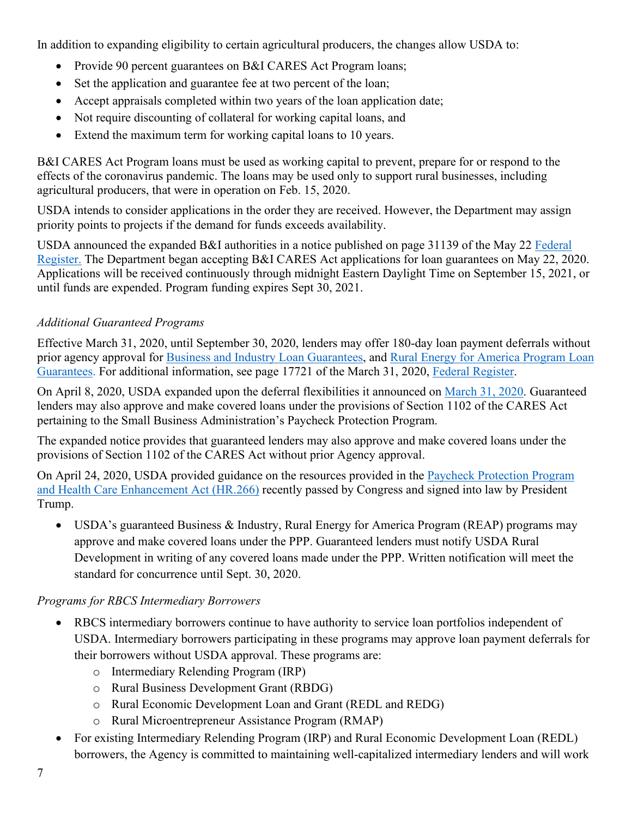In addition to expanding eligibility to certain agricultural producers, the changes allow USDA to:

- Provide 90 percent guarantees on B&I CARES Act Program loans;
- Set the application and guarantee fee at two percent of the loan;
- Accept appraisals completed within two years of the loan application date;
- Not require discounting of collateral for working capital loans, and
- Extend the maximum term for working capital loans to 10 years.

B&I CARES Act Program loans must be used as working capital to prevent, prepare for or respond to the effects of the coronavirus pandemic. The loans may be used only to support rural businesses, including agricultural producers, that were in operation on Feb. 15, 2020.

USDA intends to consider applications in the order they are received. However, the Department may assign priority points to projects if the demand for funds exceeds availability.

USDA announced the expanded B&I authorities in a notice published on page 31139 of the May 22 [Federal](https://www.govinfo.gov/content/pkg/FR-2020-05-22/pdf/2020-11243.pdf)  [Register.](https://www.govinfo.gov/content/pkg/FR-2020-05-22/pdf/2020-11243.pdf) The Department began accepting B&I CARES Act applications for loan guarantees on May 22, 2020. Applications will be received continuously through midnight Eastern Daylight Time on September 15, 2021, or until funds are expended. Program funding expires Sept 30, 2021.

# *Additional Guaranteed Programs*

Effective March 31, 2020, until September 30, 2020, lenders may offer 180-day loan payment deferrals without prior agency approval for [Business and Industry Loan Guarantees,](https://www.rd.usda.gov/programs-services/business-industry-loan-guarantees) and [Rural Energy for America Program Loan](https://www.rd.usda.gov/programs-services/rural-energy-america-program-renewable-energy-systems-energy-efficiency)  [Guarantees.](https://www.rd.usda.gov/programs-services/rural-energy-america-program-renewable-energy-systems-energy-efficiency) For additional information, see page 17721 of the March 31, 2020, [Federal Register.](https://www.govinfo.gov/content/pkg/FR-2020-03-31/pdf/2020-06706.pdf)

On April 8, 2020, USDA expanded upon the deferral flexibilities it announced on [March 31, 2020.](https://www.rd.usda.gov/sites/default/files/USDA_RD_SA_COVID19_Guarantee_Loan_Deferral_Payments03312020.pdf) Guaranteed lenders may also approve and make covered loans under the provisions of Section 1102 of the CARES Act pertaining to the Small Business Administration's Paycheck Protection Program.

The expanded notice provides that guaranteed lenders may also approve and make covered loans under the provisions of Section 1102 of the CARES Act without prior Agency approval.

On April 24, 2020, USDA provided guidance on the resources provided in the [Paycheck Protection Program](https://www.congress.gov/bill/116th-congress/house-bill/266?q=%7B%22search%22%3A%5B%22HR+266%22%5D%7D&s=1&r=1)  [and Health Care Enhancement Act \(HR.266\)](https://www.congress.gov/bill/116th-congress/house-bill/266?q=%7B%22search%22%3A%5B%22HR+266%22%5D%7D&s=1&r=1) recently passed by Congress and signed into law by President Trump.

• USDA's guaranteed Business & Industry, Rural Energy for America Program (REAP) programs may approve and make covered loans under the PPP. Guaranteed lenders must notify USDA Rural Development in writing of any covered loans made under the PPP. Written notification will meet the standard for concurrence until Sept. 30, 2020.

### *Programs for RBCS Intermediary Borrowers*

- RBCS intermediary borrowers continue to have authority to service loan portfolios independent of USDA. Intermediary borrowers participating in these programs may approve loan payment deferrals for their borrowers without USDA approval. These programs are:
	- o Intermediary Relending Program (IRP)
	- o Rural Business Development Grant (RBDG)
	- o Rural Economic Development Loan and Grant (REDL and REDG)
	- o Rural Microentrepreneur Assistance Program (RMAP)
- For existing Intermediary Relending Program (IRP) and Rural Economic Development Loan (REDL) borrowers, the Agency is committed to maintaining well-capitalized intermediary lenders and will work